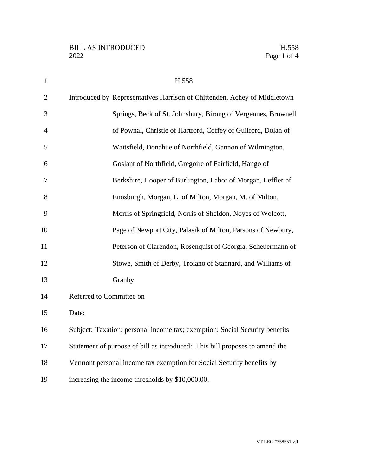| $\mathbf{1}$   | H.558                                                                       |
|----------------|-----------------------------------------------------------------------------|
| $\overline{2}$ | Introduced by Representatives Harrison of Chittenden, Achey of Middletown   |
| 3              | Springs, Beck of St. Johnsbury, Birong of Vergennes, Brownell               |
| $\overline{4}$ | of Pownal, Christie of Hartford, Coffey of Guilford, Dolan of               |
| 5              | Waitsfield, Donahue of Northfield, Gannon of Wilmington,                    |
| 6              | Goslant of Northfield, Gregoire of Fairfield, Hango of                      |
| 7              | Berkshire, Hooper of Burlington, Labor of Morgan, Leffler of                |
| 8              | Enosburgh, Morgan, L. of Milton, Morgan, M. of Milton,                      |
| 9              | Morris of Springfield, Norris of Sheldon, Noyes of Wolcott,                 |
| 10             | Page of Newport City, Palasik of Milton, Parsons of Newbury,                |
| 11             | Peterson of Clarendon, Rosenquist of Georgia, Scheuermann of                |
| 12             | Stowe, Smith of Derby, Troiano of Stannard, and Williams of                 |
| 13             | Granby                                                                      |
| 14             | Referred to Committee on                                                    |
| 15             | Date:                                                                       |
| 16             | Subject: Taxation; personal income tax; exemption; Social Security benefits |
| 17             | Statement of purpose of bill as introduced: This bill proposes to amend the |
| 18             | Vermont personal income tax exemption for Social Security benefits by       |
| 19             | increasing the income thresholds by \$10,000.00.                            |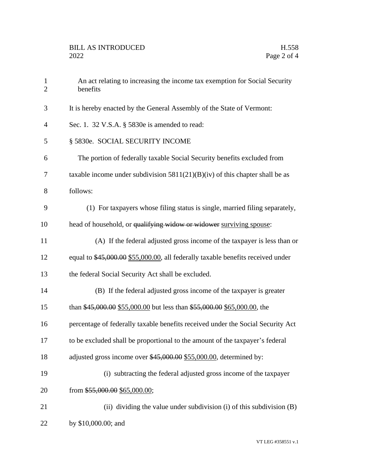| $\mathbf{1}$<br>$\overline{2}$ | An act relating to increasing the income tax exemption for Social Security<br>benefits |
|--------------------------------|----------------------------------------------------------------------------------------|
| 3                              | It is hereby enacted by the General Assembly of the State of Vermont:                  |
| 4                              | Sec. 1. 32 V.S.A. § 5830e is amended to read:                                          |
| 5                              | § 5830e. SOCIAL SECURITY INCOME                                                        |
| 6                              | The portion of federally taxable Social Security benefits excluded from                |
| 7                              | taxable income under subdivision $5811(21)(B)(iv)$ of this chapter shall be as         |
| 8                              | follows:                                                                               |
| 9                              | (1) For taxpayers whose filing status is single, married filing separately,            |
| 10                             | head of household, or qualifying widow or widower surviving spouse:                    |
| 11                             | (A) If the federal adjusted gross income of the taxpayer is less than or               |
| 12                             | equal to \$45,000.00 \$55,000.00, all federally taxable benefits received under        |
| 13                             | the federal Social Security Act shall be excluded.                                     |
| 14                             | (B) If the federal adjusted gross income of the taxpayer is greater                    |
| 15                             | than \$45,000.00 \$55,000.00 but less than \$55,000.00 \$65,000.00, the                |
| 16                             | percentage of federally taxable benefits received under the Social Security Act        |
| 17                             | to be excluded shall be proportional to the amount of the taxpayer's federal           |
| 18                             | adjusted gross income over \$45,000.00 \$55,000.00, determined by:                     |
| 19                             | (i) subtracting the federal adjusted gross income of the taxpayer                      |
| 20                             | from \$55,000.00 \$65,000.00;                                                          |
| 21                             | (ii) dividing the value under subdivision (i) of this subdivision (B)                  |
| 22                             | by \$10,000.00; and                                                                    |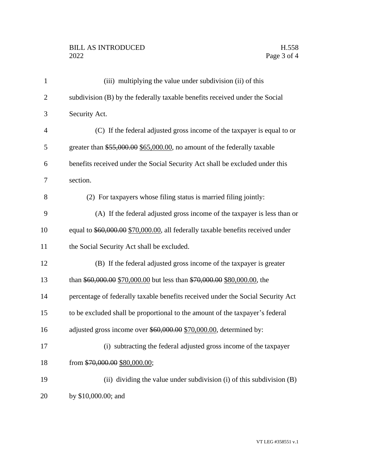## BILL AS INTRODUCED H.558<br>2022 Page 3 of 4

| $\mathbf{1}$   | (iii) multiplying the value under subdivision (ii) of this                      |
|----------------|---------------------------------------------------------------------------------|
| $\overline{2}$ | subdivision (B) by the federally taxable benefits received under the Social     |
| 3              | Security Act.                                                                   |
| $\overline{4}$ | (C) If the federal adjusted gross income of the taxpayer is equal to or         |
| 5              | greater than $$55,000.00$ \$65,000.00, no amount of the federally taxable       |
| 6              | benefits received under the Social Security Act shall be excluded under this    |
| 7              | section.                                                                        |
| 8              | (2) For taxpayers whose filing status is married filing jointly:                |
| 9              | (A) If the federal adjusted gross income of the taxpayer is less than or        |
| 10             | equal to \$60,000.00 \$70,000.00, all federally taxable benefits received under |
| 11             | the Social Security Act shall be excluded.                                      |
| 12             | (B) If the federal adjusted gross income of the taxpayer is greater             |
| 13             | than \$60,000.00 \$70,000.00 but less than \$70,000.00 \$80,000.00, the         |
| 14             | percentage of federally taxable benefits received under the Social Security Act |
| 15             | to be excluded shall be proportional to the amount of the taxpayer's federal    |
| 16             | adjusted gross income over \$60,000.00 \$70,000.00, determined by:              |
| 17             | (i) subtracting the federal adjusted gross income of the taxpayer               |
| 18             | from \$70,000.00 \$80,000.00;                                                   |
| 19             | (ii) dividing the value under subdivision (i) of this subdivision (B)           |
| 20             | by \$10,000.00; and                                                             |